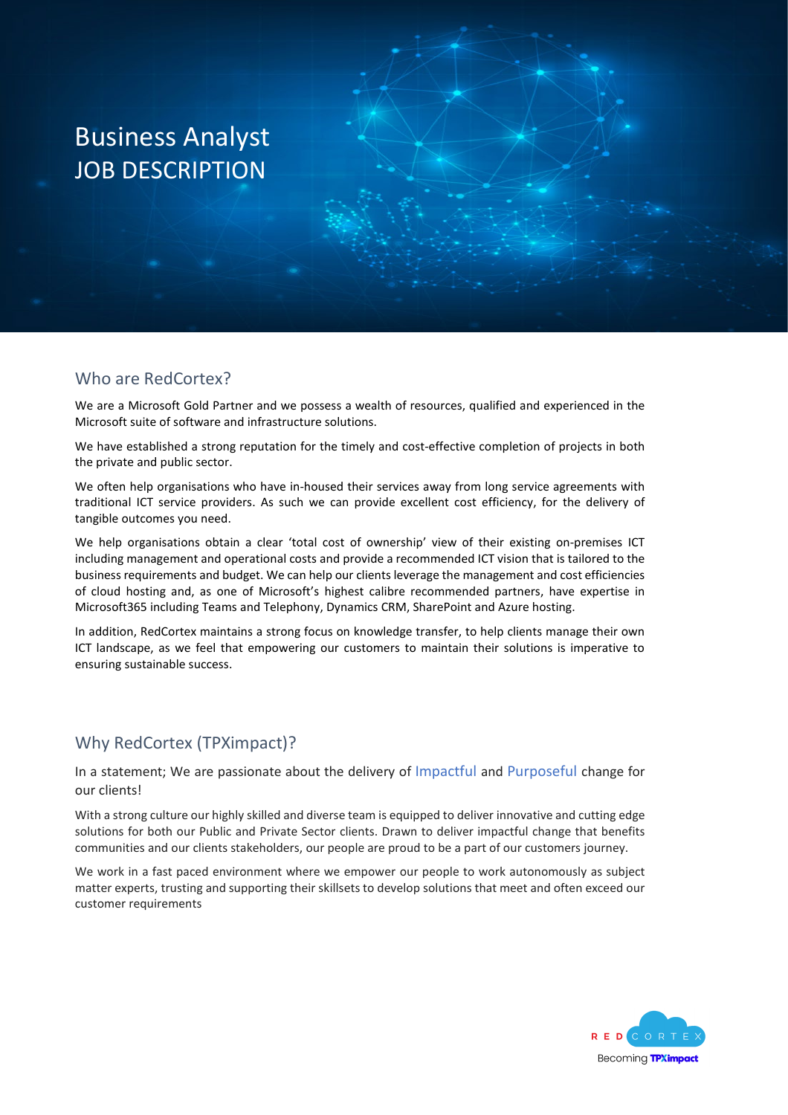# Business Analyst JOB DESCRIPTION

#### Who are RedCortex?

We are a Microsoft Gold Partner and we possess a wealth of resources, qualified and experienced in the Microsoft suite of software and infrastructure solutions.

We have established a strong reputation for the timely and cost-effective completion of projects in both the private and public sector.

We often help organisations who have in-housed their services away from long service agreements with traditional ICT service providers. As such we can provide excellent cost efficiency, for the delivery of tangible outcomes you need.

We help organisations obtain a clear 'total cost of ownership' view of their existing on-premises ICT including management and operational costs and provide a recommended ICT vision that is tailored to the business requirements and budget. We can help our clients leverage the management and cost efficiencies of cloud hosting and, as one of Microsoft's highest calibre recommended partners, have expertise in Microsoft365 including Teams and Telephony, Dynamics CRM, SharePoint and Azure hosting.

In addition, RedCortex maintains a strong focus on knowledge transfer, to help clients manage their own ICT landscape, as we feel that empowering our customers to maintain their solutions is imperative to ensuring sustainable success.

#### Why RedCortex (TPXimpact)?

In a statement; We are passionate about the delivery of Impactful and Purposeful change for our clients!

With a strong culture our highly skilled and diverse team is equipped to deliver innovative and cutting edge solutions for both our Public and Private Sector clients. Drawn to deliver impactful change that benefits communities and our clients stakeholders, our people are proud to be a part of our customers journey.

We work in a fast paced environment where we empower our people to work autonomously as subject matter experts, trusting and supporting their skillsets to develop solutions that meet and often exceed our customer requirements

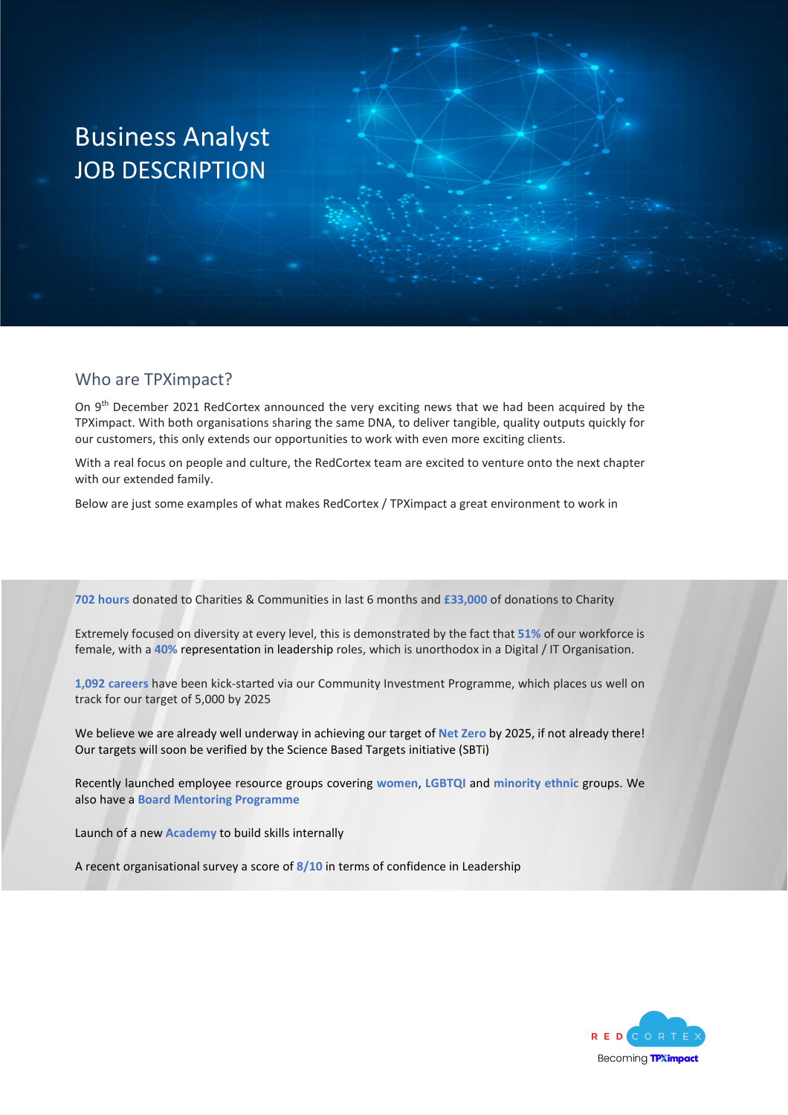# Business Analyst JOB DESCRIPTION

#### Who are TPXimpact?

On 9<sup>th</sup> December 2021 RedCortex announced the very exciting news that we had been acquired by the TPXimpact. With both organisations sharing the same DNA, to deliver tangible, quality outputs quickly for our customers, this only extends our opportunities to work with even more exciting clients.

With a real focus on people and culture, the RedCortex team are excited to venture onto the next chapter with our extended family.

Below are just some examples of what makes RedCortex / TPXimpact a great environment to work in

**702 hours** donated to Charities & Communities in last 6 months and **£33,000** of donations to Charity

Extremely focused on diversity at every level, this is demonstrated by the fact that **51%** of our workforce is female, with a **40%** representation in leadership roles, which is unorthodox in a Digital / IT Organisation.

**1,092 careers** have been kick-started via our Community Investment Programme, which places us well on track for our target of 5,000 by 2025

We believe we are already well underway in achieving our target of **Net Zero** by 2025, if not already there! Our targets will soon be verified by the Science Based Targets initiative (SBTi)

Recently launched employee resource groups covering **women**, **LGBTQI** and **minority ethnic** groups. We also have a **Board Mentoring Programme**

Launch of a new **Academy** to build skills internally

A recent organisational survey a score of **8/10** in terms of confidence in Leadership

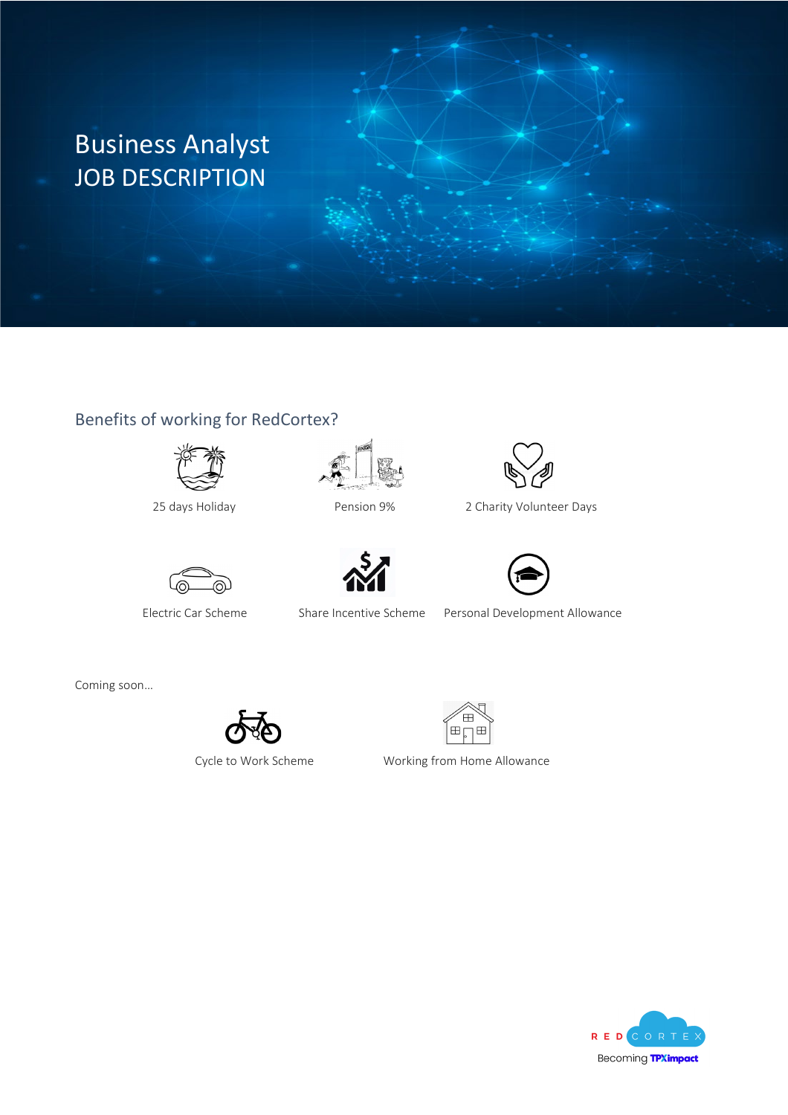# Business Analyst JOB DESCRIPTION

### Benefits of working for RedCortex?









25 days Holiday Pension 9% 2 Charity Volunteer Days





Electric Car Scheme Share Incentive Scheme Personal Development Allowance

Coming soon…



Œ 圧

Cycle to Work Scheme Working from Home Allowance